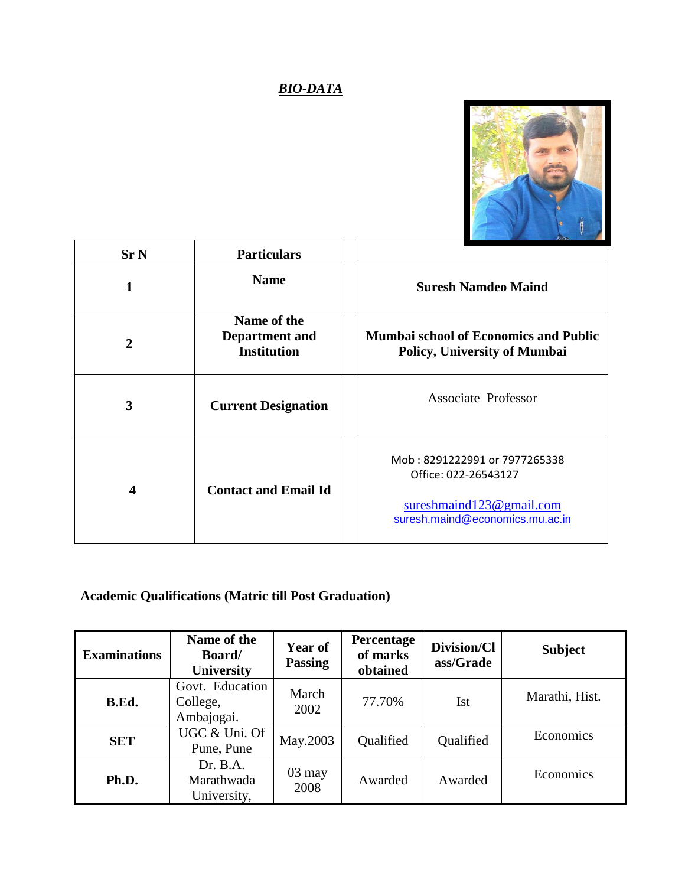## *BIO-DATA*



| Sr <sub>N</sub>         | <b>Particulars</b>                                  |                                                                                                                          |
|-------------------------|-----------------------------------------------------|--------------------------------------------------------------------------------------------------------------------------|
|                         | <b>Name</b>                                         | <b>Suresh Namdeo Maind</b>                                                                                               |
| $\mathbf{2}$            | Name of the<br>Department and<br><b>Institution</b> | <b>Mumbai school of Economics and Public</b><br><b>Policy, University of Mumbai</b>                                      |
| 3                       | <b>Current Designation</b>                          | <b>Associate Professor</b>                                                                                               |
| $\overline{\mathbf{4}}$ | <b>Contact and Email Id</b>                         | Mob: 8291222991 or 7977265338<br>Office: 022-26543127<br>sureshmaind $123@$ gmail.com<br>suresh.maind@economics.mu.ac.in |

### **Academic Qualifications (Matric till Post Graduation)**

| <b>Examinations</b> | Name of the<br><b>Board</b> /<br><b>University</b> | Year of<br><b>Passing</b> | <b>Percentage</b><br>of marks<br>obtained | Division/Cl<br>ass/Grade | <b>Subject</b> |
|---------------------|----------------------------------------------------|---------------------------|-------------------------------------------|--------------------------|----------------|
| B.Ed.               | Govt. Education<br>College,<br>Ambajogai.          | March<br>2002             | 77.70%                                    | <b>Ist</b>               | Marathi, Hist. |
| <b>SET</b>          | UGC & Uni. Of<br>Pune, Pune                        | May.2003                  | Qualified                                 | Qualified                | Economics      |
| Ph.D.               | Dr. B.A.<br>Marathwada<br>University,              | $03$ may<br>2008          | Awarded                                   | Awarded                  | Economics      |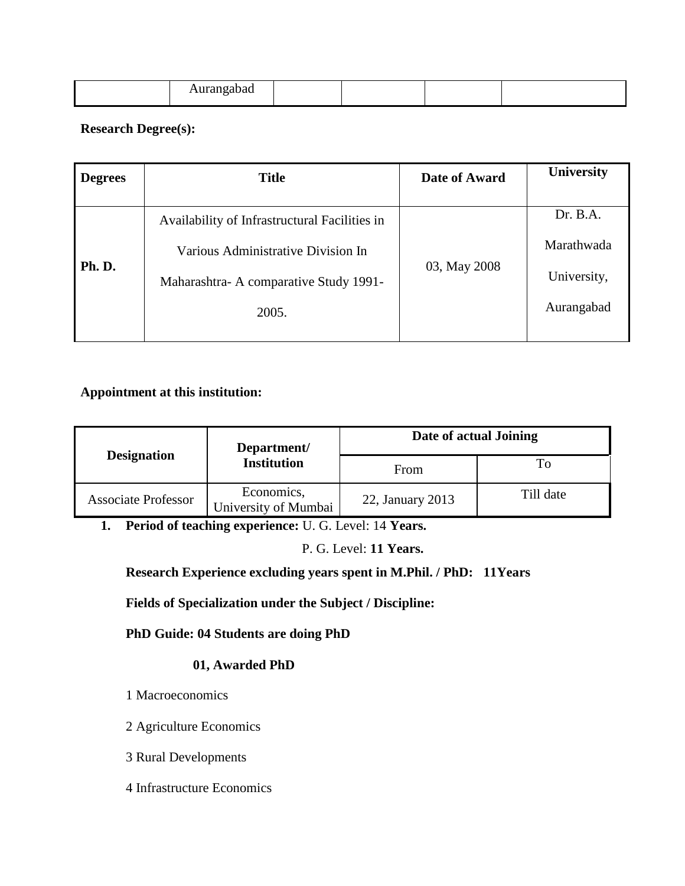|--|

#### **Research Degree(s):**

| <b>Degrees</b> | <b>Title</b>                                  | Date of Award | <b>University</b> |
|----------------|-----------------------------------------------|---------------|-------------------|
|                |                                               |               |                   |
|                | Availability of Infrastructural Facilities in |               | Dr. B.A.          |
|                | Various Administrative Division In            |               | Marathwada        |
| Ph. D.         | Maharashtra-A comparative Study 1991-         | 03, May 2008  | University,       |
|                | 2005.                                         |               | Aurangabad        |
|                |                                               |               |                   |

#### **Appointment at this institution:**

|                            | Department/                        | Date of actual Joining |           |  |
|----------------------------|------------------------------------|------------------------|-----------|--|
| <b>Designation</b>         | <b>Institution</b>                 | From                   | To        |  |
| <b>Associate Professor</b> | Economics,<br>University of Mumbai | 22, January 2013       | Till date |  |

**1. Period of teaching experience:** U. G. Level: 14 **Years.**

P. G. Level: **11 Years.**

**Research Experience excluding years spent in M.Phil. / PhD: 11Years**

**Fields of Specialization under the Subject / Discipline:** 

**PhD Guide: 04 Students are doing PhD**

#### **01, Awarded PhD**

- 1 Macroeconomics
- 2 Agriculture Economics
- 3 Rural Developments
- 4 Infrastructure Economics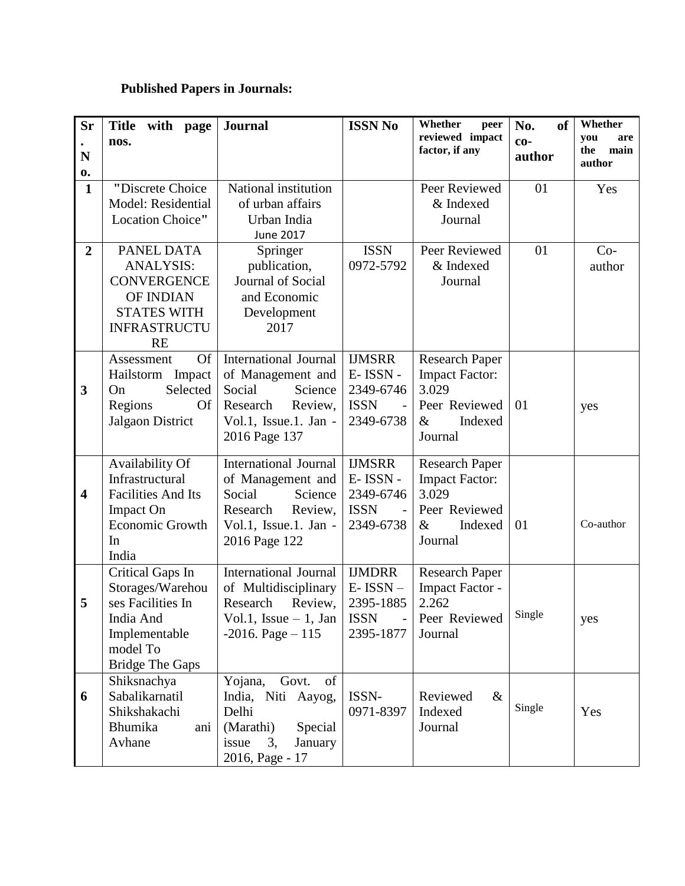## **Published Papers in Journals:**

| <b>Sr</b>                    | Title with page<br>nos.                                                                                                       | <b>Journal</b>                                                                                                                          | <b>ISSN No</b>                                                      | Whether<br>peer<br>reviewed impact                                                                     | <b>of</b><br>No.<br>$co-$ | Whether<br>you<br>are |
|------------------------------|-------------------------------------------------------------------------------------------------------------------------------|-----------------------------------------------------------------------------------------------------------------------------------------|---------------------------------------------------------------------|--------------------------------------------------------------------------------------------------------|---------------------------|-----------------------|
| N                            |                                                                                                                               |                                                                                                                                         |                                                                     | factor, if any                                                                                         | author                    | the<br>main<br>author |
| $\mathbf{0}$<br>$\mathbf{1}$ | "Discrete Choice<br>Model: Residential<br>Location Choice"                                                                    | National institution<br>of urban affairs<br>Urban India<br>June 2017                                                                    |                                                                     | Peer Reviewed<br>& Indexed<br>Journal                                                                  | 01                        | Yes                   |
| $\overline{2}$               | PANEL DATA<br><b>ANALYSIS:</b><br><b>CONVERGENCE</b><br>OF INDIAN<br><b>STATES WITH</b><br><b>INFRASTRUCTU</b><br><b>RE</b>   | Springer<br>publication,<br>Journal of Social<br>and Economic<br>Development<br>2017                                                    | <b>ISSN</b><br>0972-5792                                            | Peer Reviewed<br>& Indexed<br>Journal                                                                  | 01                        | $Co-$<br>author       |
| $\mathbf{3}$                 | <b>Of</b><br>Assessment<br>Hailstorm Impact<br>Selected<br>On<br>Regions<br>Of<br>Jalgaon District                            | International Journal<br>of Management and<br>Social<br>Science<br>Research<br>Review,<br>Vol.1, Issue.1. Jan -<br>2016 Page 137        | <b>IJMSRR</b><br>E-ISSN-<br>2349-6746<br><b>ISSN</b><br>2349-6738   | <b>Research Paper</b><br><b>Impact Factor:</b><br>3.029<br>Peer Reviewed<br>$\&$<br>Indexed<br>Journal | 01                        | yes                   |
| $\overline{\mathbf{4}}$      | Availability Of<br>Infrastructural<br><b>Facilities And Its</b><br><b>Impact On</b><br><b>Economic Growth</b><br>In<br>India  | <b>International Journal</b><br>of Management and<br>Social<br>Science<br>Research<br>Review,<br>Vol.1, Issue.1. Jan -<br>2016 Page 122 | <b>IJMSRR</b><br>E-ISSN-<br>2349-6746<br><b>ISSN</b><br>2349-6738   | <b>Research Paper</b><br><b>Impact Factor:</b><br>3.029<br>Peer Reviewed<br>&<br>Indexed<br>Journal    | 01                        | Co-author             |
| 5                            | Critical Gaps In<br>Storages/Warehou<br>ses Facilities In<br>India And<br>Implementable<br>model To<br><b>Bridge The Gaps</b> | <b>International Journal</b><br>of Multidisciplinary<br>Review,<br>Research<br>Vol.1, Issue $-1$ , Jan<br>$-2016. Page - 115$           | <b>IJMDRR</b><br>$E-ISSN-$<br>2395-1885<br><b>ISSN</b><br>2395-1877 | <b>Research Paper</b><br>Impact Factor -<br>2.262<br>Peer Reviewed   Single<br>Journal                 |                           | yes                   |
| 6                            | Shiksnachya<br>Sabalikarnatil<br>Shikshakachi<br>Bhumika<br>ani<br>Avhane                                                     | Yojana,<br>Govt.<br>of<br>India, Niti Aayog,<br>Delhi<br>(Marathi)<br>Special<br>issue<br>3,<br>January<br>2016, Page - 17              | ISSN-<br>0971-8397                                                  | Reviewed<br>$\&$<br>Indexed<br>Journal                                                                 | Single                    | Yes                   |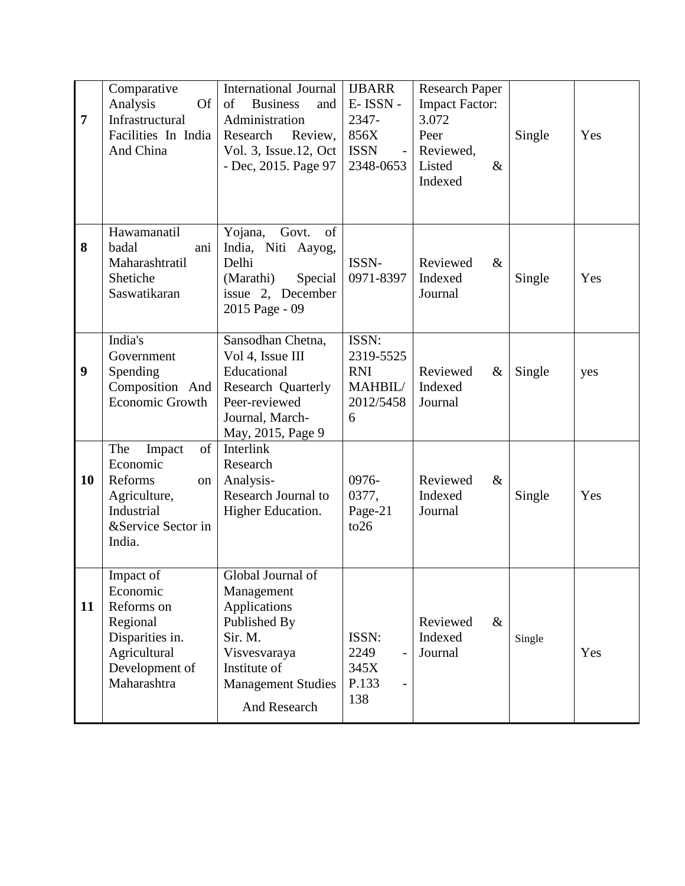| $\overline{7}$   | Comparative<br><b>Of</b><br>Analysis<br>Infrastructural<br>Facilities In India<br>And China                         | <b>International Journal</b><br>of<br><b>Business</b><br>and<br>Administration<br>Research<br>Review,<br>Vol. 3, Issue.12, Oct<br>- Dec, 2015. Page 97         | <b>IJBARR</b><br>E-ISSN-<br>2347-<br>856X<br><b>ISSN</b><br>2348-0653 | <b>Research Paper</b><br><b>Impact Factor:</b><br>3.072<br>Peer<br>Reviewed,<br>Listed<br>$\&$<br>Indexed | Single | Yes |
|------------------|---------------------------------------------------------------------------------------------------------------------|----------------------------------------------------------------------------------------------------------------------------------------------------------------|-----------------------------------------------------------------------|-----------------------------------------------------------------------------------------------------------|--------|-----|
| 8                | Hawamanatil<br>badal<br>ani<br>Maharashtratil<br>Shetiche<br>Saswatikaran                                           | Yojana,<br>Govt.<br>of<br>India, Niti Aayog,<br>Delhi<br>(Marathi)<br>Special<br>issue 2, December<br>2015 Page - 09                                           | ISSN-<br>0971-8397                                                    | Reviewed<br>$\&$<br>Indexed<br>Journal                                                                    | Single | Yes |
| $\boldsymbol{9}$ | India's<br>Government<br>Spending<br>Composition And<br>Economic Growth                                             | Sansodhan Chetna,<br>Vol 4, Issue III<br>Educational<br><b>Research Quarterly</b><br>Peer-reviewed<br>Journal, March-<br>May, 2015, Page 9                     | ISSN:<br>2319-5525<br><b>RNI</b><br>MAHBIL/<br>2012/5458<br>6         | Reviewed<br>$\&$<br>Indexed<br>Journal                                                                    | Single | yes |
| 10               | The<br>of<br>Impact<br>Economic<br>Reforms<br>on<br>Agriculture,<br>Industrial<br>&Service Sector in<br>India.      | Interlink<br>Research<br>Analysis-<br><b>Research Journal to</b><br>Higher Education.                                                                          | 0976-<br>0377,<br>Page-21<br>to26                                     | Reviewed<br>$\&$<br>Indexed<br>Journal                                                                    | Single | Yes |
| 11               | Impact of<br>Economic<br>Reforms on<br>Regional<br>Disparities in.<br>Agricultural<br>Development of<br>Maharashtra | Global Journal of<br>Management<br>Applications<br>Published By<br>Sir. M.<br>Visvesvaraya<br>Institute of<br><b>Management Studies</b><br><b>And Research</b> | ISSN:<br>2249<br>345X<br>P.133<br>138                                 | $\&$<br>Reviewed<br>Indexed<br>Journal                                                                    | Single | Yes |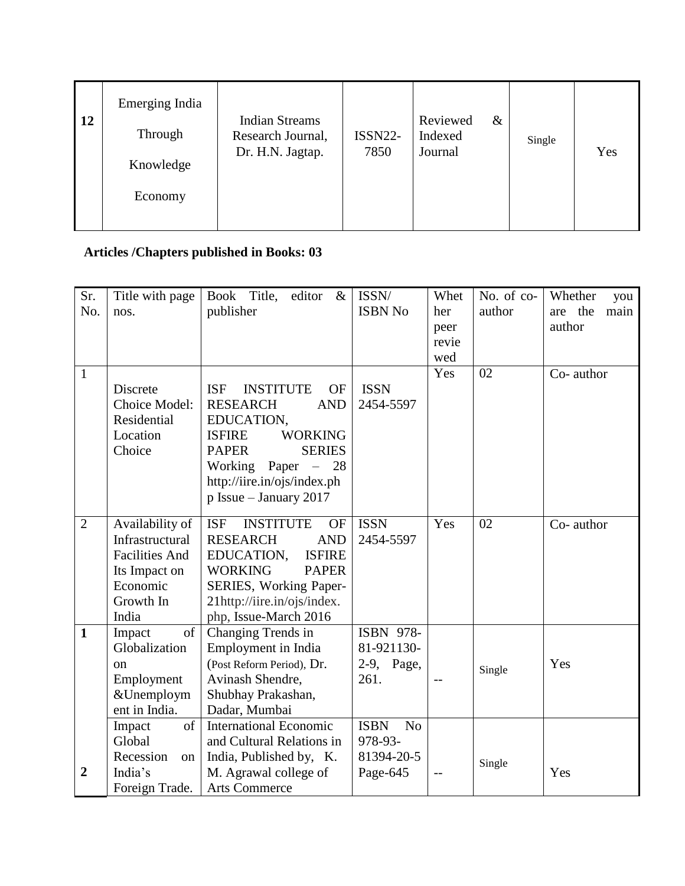| 12 | Emerging India<br>Through<br>Knowledge<br>Economy | <b>Indian Streams</b><br>Research Journal,<br>Dr. H.N. Jagtap. | <b>ISSN22-</b><br>7850 | Reviewed<br>Indexed<br>Journal | & | Single | Yes |
|----|---------------------------------------------------|----------------------------------------------------------------|------------------------|--------------------------------|---|--------|-----|
|    |                                                   |                                                                |                        |                                |   |        |     |

# **Articles /Chapters published in Books: 03**

| Sr.            | Title with page       | Book Title,<br>editor<br>$\&$               | ISSN/                         | Whet  | No. of co- | Whether<br>you  |
|----------------|-----------------------|---------------------------------------------|-------------------------------|-------|------------|-----------------|
| No.            | nos.                  | publisher                                   | <b>ISBN No</b>                | her   | author     | are the<br>main |
|                |                       |                                             |                               | peer  |            | author          |
|                |                       |                                             |                               | revie |            |                 |
|                |                       |                                             |                               | wed   |            |                 |
| $\mathbf{1}$   |                       |                                             |                               | Yes   | 02         | Co- author      |
|                | <b>Discrete</b>       | <b>ISF</b><br><b>INSTITUTE</b><br><b>OF</b> | <b>ISSN</b>                   |       |            |                 |
|                | Choice Model:         | <b>RESEARCH</b><br><b>AND</b>               | 2454-5597                     |       |            |                 |
|                | Residential           | EDUCATION,                                  |                               |       |            |                 |
|                | Location              | <b>ISFIRE</b><br><b>WORKING</b>             |                               |       |            |                 |
|                | Choice                | <b>PAPER</b><br><b>SERIES</b>               |                               |       |            |                 |
|                |                       | Working<br>Paper $-$<br>28                  |                               |       |            |                 |
|                |                       | http://iire.in/ojs/index.ph                 |                               |       |            |                 |
|                |                       | p Issue - January 2017                      |                               |       |            |                 |
|                |                       |                                             |                               |       |            |                 |
| $\overline{2}$ | Availability of       | <b>ISF</b><br><b>INSTITUTE</b><br><b>OF</b> | <b>ISSN</b>                   | Yes   | 02         | Co- author      |
|                | Infrastructural       | <b>AND</b><br><b>RESEARCH</b>               | 2454-5597                     |       |            |                 |
|                | <b>Facilities And</b> | EDUCATION,<br><b>ISFIRE</b>                 |                               |       |            |                 |
|                | Its Impact on         | <b>WORKING</b><br><b>PAPER</b>              |                               |       |            |                 |
|                | Economic              | SERIES, Working Paper-                      |                               |       |            |                 |
|                | Growth In             | 21http://iire.in/ojs/index.                 |                               |       |            |                 |
|                | India                 | php, Issue-March 2016                       |                               |       |            |                 |
| $\mathbf{1}$   | of<br>Impact          | Changing Trends in                          | ISBN 978-                     |       |            |                 |
|                | Globalization         | Employment in India                         | 81-921130-                    |       |            |                 |
|                | on                    | (Post Reform Period), Dr.                   | 2-9, Page,                    |       | Single     | Yes             |
|                | Employment            | Avinash Shendre,                            | 261.                          |       |            |                 |
|                | &Unemploym            | Shubhay Prakashan,                          |                               |       |            |                 |
|                | ent in India.         | Dadar, Mumbai                               |                               |       |            |                 |
|                | of<br>Impact          | <b>International Economic</b>               | <b>ISBN</b><br>N <sub>o</sub> |       |            |                 |
|                | Global                | and Cultural Relations in                   | 978-93-                       |       |            |                 |
|                | Recession<br>on       | India, Published by, K.                     | 81394-20-5                    |       | Single     |                 |
| $\overline{2}$ | India's               | M. Agrawal college of                       | Page-645                      | $-$ - |            | Yes             |
|                | Foreign Trade.        | <b>Arts Commerce</b>                        |                               |       |            |                 |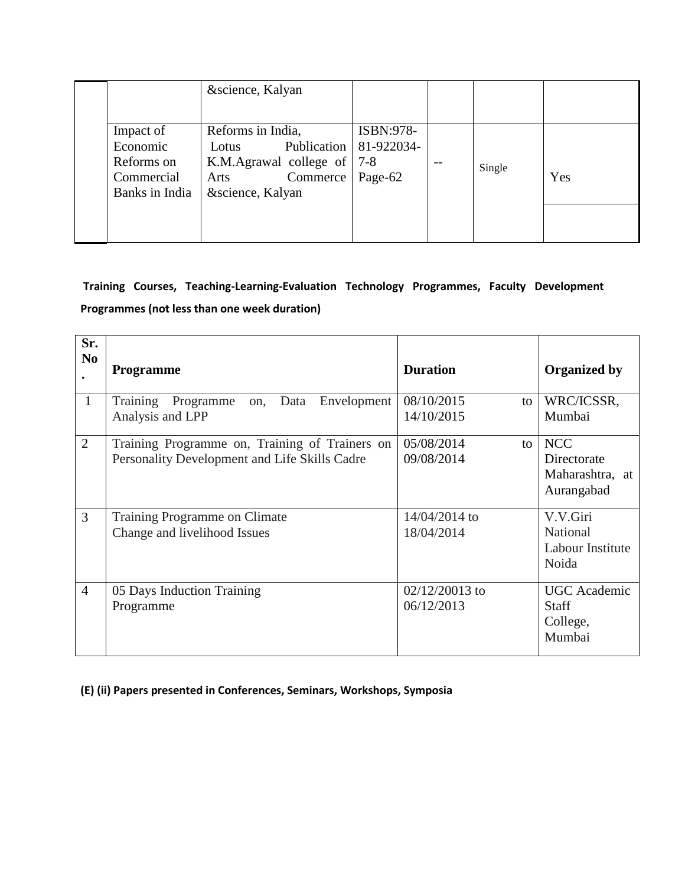|                | &science, Kalyan             |                          |                                       |        |     |
|----------------|------------------------------|--------------------------|---------------------------------------|--------|-----|
|                |                              |                          |                                       |        |     |
| Impact of      | Reforms in India,            | ISBN:978-                |                                       |        |     |
| Economic       | Lotus                        | Publication   81-922034- |                                       |        |     |
| Reforms on     | K.M.Agrawal college of   7-8 |                          | $\hspace{0.05cm}$ – $\hspace{0.05cm}$ | Single |     |
| Commercial     | Commerce   Page-62<br>Arts   |                          |                                       |        | Yes |
| Banks in India | &science, Kalyan             |                          |                                       |        |     |
|                |                              |                          |                                       |        |     |
|                |                              |                          |                                       |        |     |

## **Training Courses, Teaching-Learning-Evaluation Technology Programmes, Faculty Development Programmes (not less than one week duration)**

| Sr.<br>N <sub>0</sub> | <b>Programme</b>                                                                                | <b>Duration</b>                | <b>Organized by</b>                                        |
|-----------------------|-------------------------------------------------------------------------------------------------|--------------------------------|------------------------------------------------------------|
| $\mathbf{1}$          | Training<br>Data<br>Envelopment<br>Programme<br>on,<br>Analysis and LPP                         | 08/10/2015<br>to<br>14/10/2015 | WRC/ICSSR,<br>Mumbai                                       |
| $\overline{2}$        | Training Programme on, Training of Trainers on<br>Personality Development and Life Skills Cadre | 05/08/2014<br>to<br>09/08/2014 | <b>NCC</b><br>Directorate<br>Maharashtra, at<br>Aurangabad |
| 3                     | Training Programme on Climate<br>Change and livelihood Issues                                   | 14/04/2014 to<br>18/04/2014    | V.V.Giri<br>National<br>Labour Institute<br>Noida          |
| $\overline{4}$        | 05 Days Induction Training<br>Programme                                                         | $02/12/20013$ to<br>06/12/2013 | <b>UGC</b> Academic<br><b>Staff</b><br>College,<br>Mumbai  |

**(E) (ii) Papers presented in Conferences, Seminars, Workshops, Symposia**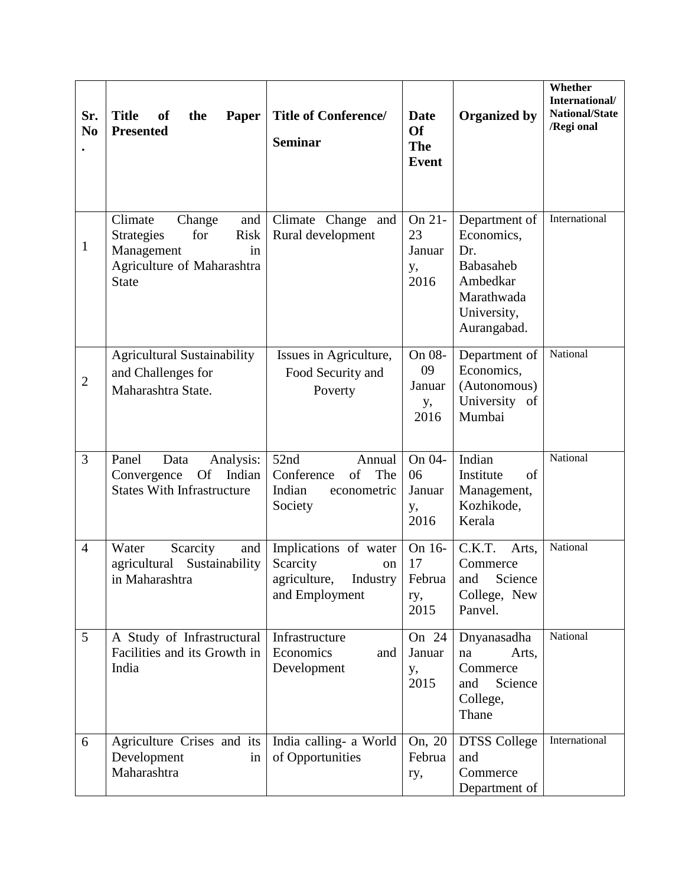| Sr.<br>N <sub>0</sub><br>$\bullet$ | <b>Title</b><br>the<br>of<br><b>Paper</b><br><b>Presented</b>                                                                         | <b>Title of Conference/</b><br><b>Seminar</b>                                               | <b>Date</b><br><b>Of</b><br><b>The</b><br>Event | <b>Organized by</b>                                                                                     | Whether<br>International/<br>National/State<br>/Regi onal |
|------------------------------------|---------------------------------------------------------------------------------------------------------------------------------------|---------------------------------------------------------------------------------------------|-------------------------------------------------|---------------------------------------------------------------------------------------------------------|-----------------------------------------------------------|
| $\mathbf{1}$                       | Climate<br>Change<br>and<br><b>Risk</b><br><b>Strategies</b><br>for<br>Management<br>in<br>Agriculture of Maharashtra<br><b>State</b> | Climate Change and<br>Rural development                                                     | On 21-<br>23<br>Januar<br>у,<br>2016            | Department of<br>Economics,<br>Dr.<br>Babasaheb<br>Ambedkar<br>Marathwada<br>University,<br>Aurangabad. | International                                             |
| $\overline{2}$                     | <b>Agricultural Sustainability</b><br>and Challenges for<br>Maharashtra State.                                                        | Issues in Agriculture,<br>Food Security and<br>Poverty                                      | On 08-<br>09<br>Januar<br>у,<br>2016            | Department of<br>Economics,<br>(Autonomous)<br>University of<br>Mumbai                                  | National                                                  |
| $\overline{3}$                     | Panel<br>Data<br>Analysis:<br><b>Of</b><br>Indian<br>Convergence<br><b>States With Infrastructure</b>                                 | 52nd<br>Annual<br>of<br>Conference<br>The<br>Indian<br>econometric<br>Society               | On 04-<br>06<br>Januar<br>у,<br>2016            | Indian<br>Institute<br>of<br>Management,<br>Kozhikode,<br>Kerala                                        | National                                                  |
| $\overline{4}$                     | Water<br>Scarcity<br>and<br>Sustainability<br>agricultural<br>in Maharashtra                                                          | Implications of water<br>Scarcity<br>on<br>agriculture, Industry   Februa<br>and Employment | On 16-<br>17<br>ry,<br>2015                     | C.K.T.<br>Arts,<br>Commerce<br>and Science<br>College, New<br>Panvel.                                   | National                                                  |
| 5                                  | A Study of Infrastructural<br>Facilities and its Growth in<br>India                                                                   | Infrastructure<br>Economics<br>and<br>Development                                           | On 24<br>Januar<br>у,<br>2015                   | Dnyanasadha<br>Arts,<br>na<br>Commerce<br>Science<br>and<br>College,<br>Thane                           | National                                                  |
| 6                                  | Agriculture Crises and its<br>Development<br>in<br>Maharashtra                                                                        | India calling- a World<br>of Opportunities                                                  | On, 20<br>Februa<br>ry,                         | <b>DTSS College</b><br>and<br>Commerce<br>Department of                                                 | International                                             |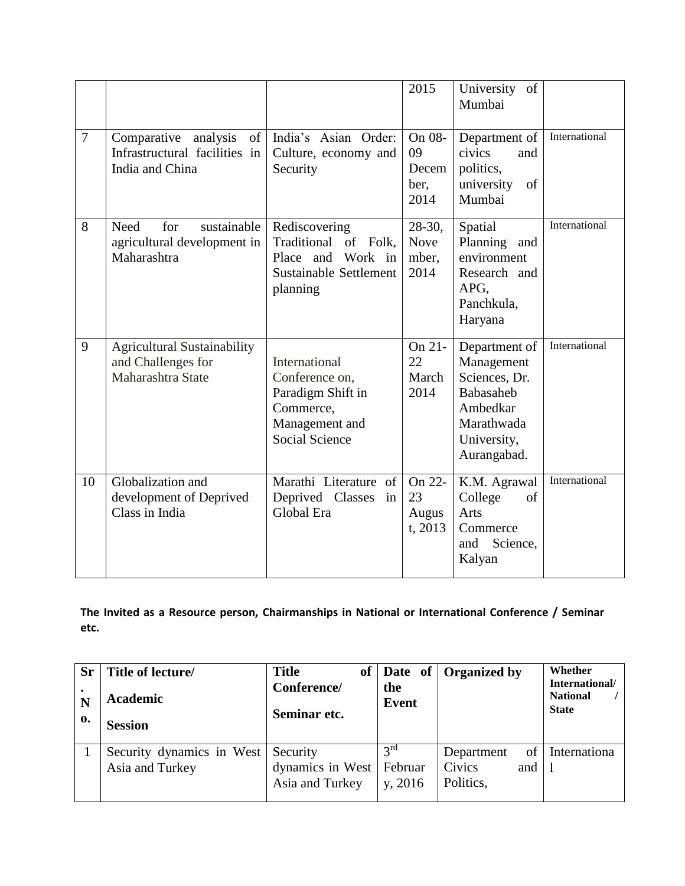|                |                                                                                   |                                                                                                              | 2015                                      | University of<br>Mumbai                                                                                           |               |
|----------------|-----------------------------------------------------------------------------------|--------------------------------------------------------------------------------------------------------------|-------------------------------------------|-------------------------------------------------------------------------------------------------------------------|---------------|
| $\overline{7}$ | Comparative<br>of<br>analysis<br>Infrastructural facilities in<br>India and China | India's Asian Order:<br>Culture, economy and<br>Security                                                     | On 08-<br>09<br>Decem<br>ber,<br>2014     | Department of<br>civics<br>and<br>politics,<br>university<br>of<br>Mumbai                                         | International |
| 8              | sustainable<br>Need<br>for<br>agricultural development in<br>Maharashtra          | Rediscovering<br>Traditional<br>of Folk,<br>Work in<br>Place and<br>Sustainable Settlement<br>planning       | $28-30$ ,<br><b>Nove</b><br>mber,<br>2014 | Spatial<br>Planning and<br>environment<br>Research and<br>APG,<br>Panchkula,<br>Haryana                           | International |
| 9              | <b>Agricultural Sustainability</b><br>and Challenges for<br>Maharashtra State     | International<br>Conference on,<br>Paradigm Shift in<br>Commerce,<br>Management and<br><b>Social Science</b> | On 21-<br>22<br>March<br>2014             | Department of<br>Management<br>Sciences, Dr.<br>Babasaheb<br>Ambedkar<br>Marathwada<br>University,<br>Aurangabad. | International |
| 10             | Globalization and<br>development of Deprived<br>Class in India                    | Marathi Literature of<br>Deprived Classes<br>in<br>Global Era                                                | On 22-<br>23<br>Augus<br>t, 2013          | K.M. Agrawal<br>College<br>of<br>Arts<br>Commerce<br>and<br>Science,<br>Kalyan                                    | International |

**The Invited as a Resource person, Chairmanships in National or International Conference / Seminar etc.**

| <b>Sr</b><br>N<br>0. | Title of lecture/<br>Academic<br><b>Session</b> | <b>Title</b><br><b>of</b><br>Conference/<br>Seminar etc. | the<br><b>Event</b>                   | Date of   Organized by                                | Whether<br>International/<br><b>National</b><br><b>State</b> |
|----------------------|-------------------------------------------------|----------------------------------------------------------|---------------------------------------|-------------------------------------------------------|--------------------------------------------------------------|
|                      | Security dynamics in West<br>Asia and Turkey    | Security<br>dynamics in West<br>Asia and Turkey          | $2^{\text{rd}}$<br>Februar<br>y, 2016 | of l<br>Department<br>Civics<br>and $ 1$<br>Politics, | Internationa                                                 |